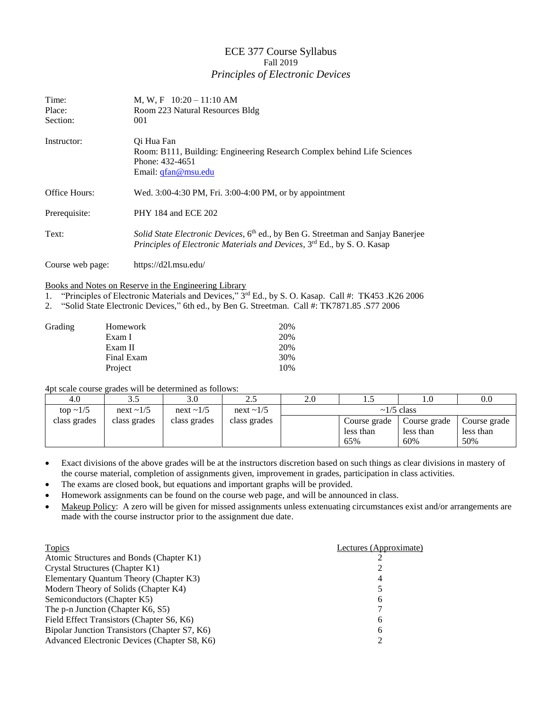## ECE 377 Course Syllabus Fall 2019 *Principles of Electronic Devices*

| Time:<br>Place:<br>Section: | M, W, F $10:20-11:10$ AM<br>Room 223 Natural Resources Bldg<br>001                                                                                                      |
|-----------------------------|-------------------------------------------------------------------------------------------------------------------------------------------------------------------------|
| Instructor:                 | Oi Hua Fan<br>Room: B111, Building: Engineering Research Complex behind Life Sciences<br>Phone: 432-4651<br>Email: <i>gfan@msu.edu</i>                                  |
| <b>Office Hours:</b>        | Wed. 3:00-4:30 PM, Fri. 3:00-4:00 PM, or by appointment                                                                                                                 |
| Prerequisite:               | PHY 184 and ECE 202                                                                                                                                                     |
| Text:                       | Solid State Electronic Devices, 6 <sup>th</sup> ed., by Ben G. Streetman and Sanjay Banerjee<br>Principles of Electronic Materials and Devices, 3rd Ed., by S. O. Kasap |
| Course web page:            | https://d21.msu.edu/                                                                                                                                                    |

## Books and Notes on Reserve in the Engineering Library

1. "Principles of Electronic Materials and Devices," 3 rd Ed., by S. O. Kasap. Call #: TK453 .K26 2006

2. "Solid State Electronic Devices," 6th ed., by Ben G. Streetman. Call #: TK7871.85 .S77 2006

| Grading | Homework   | 20% |
|---------|------------|-----|
|         | Exam I     | 20% |
|         | Exam II    | 20% |
|         | Final Exam | 30% |
|         | Project    | 10% |

4pt scale course grades will be determined as follows:

| 4.0            |              | 3.0          | 2.5             | 2.0              |              |              | 0.0          |
|----------------|--------------|--------------|-----------------|------------------|--------------|--------------|--------------|
| top $\sim$ 1/5 | next ~1/5    | next ~1/5    | next $\sim$ 1/5 | $\sim$ 1/5 class |              |              |              |
| class grades   | class grades | class grades | class grades    |                  | Course grade | Course grade | Course grade |
|                |              |              |                 |                  | less than    | less than    | less than    |
|                |              |              |                 |                  | 65%          | 60%          | 50%          |

 Exact divisions of the above grades will be at the instructors discretion based on such things as clear divisions in mastery of the course material, completion of assignments given, improvement in grades, participation in class activities.

The exams are closed book, but equations and important graphs will be provided.

Homework assignments can be found on the course web page, and will be announced in class.

• Makeup Policy: A zero will be given for missed assignments unless extenuating circumstances exist and/or arrangements are made with the course instructor prior to the assignment due date.

| <b>Topics</b>                                 | Lectures (Approximate) |
|-----------------------------------------------|------------------------|
| Atomic Structures and Bonds (Chapter K1)      |                        |
| Crystal Structures (Chapter K1)               |                        |
| Elementary Quantum Theory (Chapter K3)        | 4                      |
| Modern Theory of Solids (Chapter K4)          |                        |
| Semiconductors (Chapter K5)                   | 6                      |
| The p-n Junction (Chapter K6, S5)             |                        |
| Field Effect Transistors (Chapter S6, K6)     | 6                      |
| Bipolar Junction Transistors (Chapter S7, K6) | 6                      |
| Advanced Electronic Devices (Chapter S8, K6)  |                        |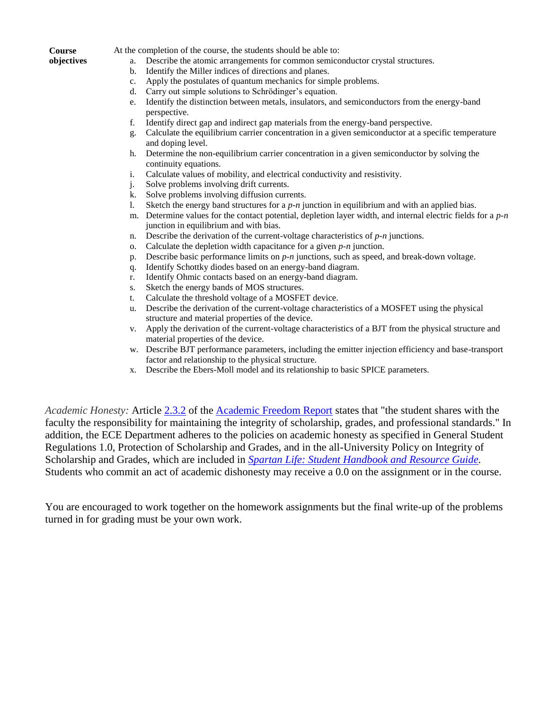## **Course**

**objectives**

At the completion of the course, the students should be able to:

- a. Describe the atomic arrangements for common semiconductor crystal structures.
- b. Identify the Miller indices of directions and planes.
- c. Apply the postulates of quantum mechanics for simple problems.
- d. Carry out simple solutions to Schrödinger's equation.
- e. Identify the distinction between metals, insulators, and semiconductors from the energy-band perspective.
- f. Identify direct gap and indirect gap materials from the energy-band perspective.
- g. Calculate the equilibrium carrier concentration in a given semiconductor at a specific temperature and doping level.
- h. Determine the non-equilibrium carrier concentration in a given semiconductor by solving the continuity equations.
- i. Calculate values of mobility, and electrical conductivity and resistivity.
- j. Solve problems involving drift currents.
- k. Solve problems involving diffusion currents.
- l. Sketch the energy band structures for a *p-n* junction in equilibrium and with an applied bias.
- m. Determine values for the contact potential, depletion layer width, and internal electric fields for a *p-n* junction in equilibrium and with bias.
- n. Describe the derivation of the current-voltage characteristics of *p-n* junctions.
- o. Calculate the depletion width capacitance for a given *p-n* junction.
- p. Describe basic performance limits on *p-n* junctions, such as speed, and break-down voltage.
- q. Identify Schottky diodes based on an energy-band diagram.
- r. Identify Ohmic contacts based on an energy-band diagram.
- s. Sketch the energy bands of MOS structures.
- t. Calculate the threshold voltage of a MOSFET device.
- u. Describe the derivation of the current-voltage characteristics of a MOSFET using the physical structure and material properties of the device.
- v. Apply the derivation of the current-voltage characteristics of a BJT from the physical structure and material properties of the device.
- w. Describe BJT performance parameters, including the emitter injection efficiency and base-transport factor and relationship to the physical structure.
- x. Describe the Ebers-Moll model and its relationship to basic SPICE parameters.

*Academic Honesty:* Article [2.3.2](http://splife.studentlife.msu.edu/academic-freedom-for-students-at-michigan-state-university/article-2-academic-rights-and-responsibilities) of the [Academic Freedom Report](http://splife.studentlife.msu.edu/academic-freedom-for-students-at-michigan-state-university/article-2-academic-rights-and-responsibilities) states that "the student shares with the faculty the responsibility for maintaining the integrity of scholarship, grades, and professional standards." In addition, the ECE Department adheres to the policies on academic honesty as specified in General Student Regulations 1.0, Protection of Scholarship and Grades, and in the all-University Policy on Integrity of Scholarship and Grades, which are included in *[Spartan Life: Student Handbook and Resource Guide.](http://splife.studentlife.msu.edu/)* Students who commit an act of academic dishonesty may receive a 0.0 on the assignment or in the course.

You are encouraged to work together on the homework assignments but the final write-up of the problems turned in for grading must be your own work.